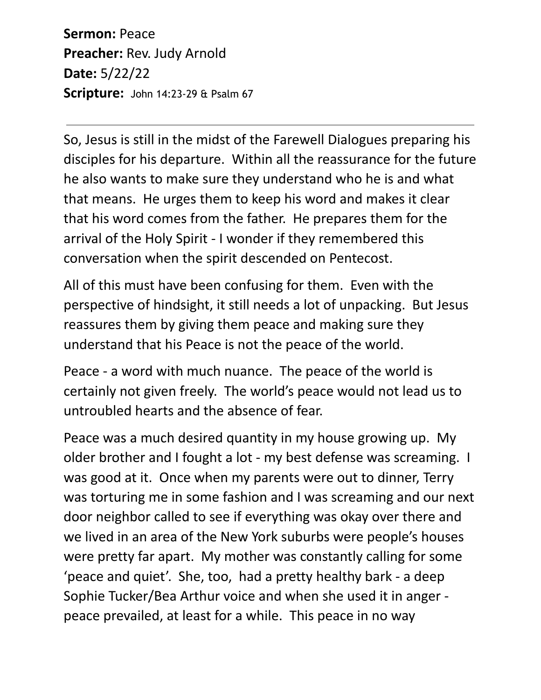**Sermon:** Peace **Preacher:** Rev. Judy Arnold **Date:** 5/22/22 **Scripture:** John 14:23-29 & Psalm 67

So, Jesus is still in the midst of the Farewell Dialogues preparing his disciples for his departure. Within all the reassurance for the future he also wants to make sure they understand who he is and what that means. He urges them to keep his word and makes it clear that his word comes from the father. He prepares them for the arrival of the Holy Spirit - I wonder if they remembered this conversation when the spirit descended on Pentecost.

All of this must have been confusing for them. Even with the perspective of hindsight, it still needs a lot of unpacking. But Jesus reassures them by giving them peace and making sure they understand that his Peace is not the peace of the world.

Peace - a word with much nuance. The peace of the world is certainly not given freely. The world's peace would not lead us to untroubled hearts and the absence of fear.

Peace was a much desired quantity in my house growing up. My older brother and I fought a lot - my best defense was screaming. I was good at it. Once when my parents were out to dinner, Terry was torturing me in some fashion and I was screaming and our next door neighbor called to see if everything was okay over there and we lived in an area of the New York suburbs were people's houses were pretty far apart. My mother was constantly calling for some 'peace and quiet'. She, too, had a pretty healthy bark - a deep Sophie Tucker/Bea Arthur voice and when she used it in anger peace prevailed, at least for a while. This peace in no way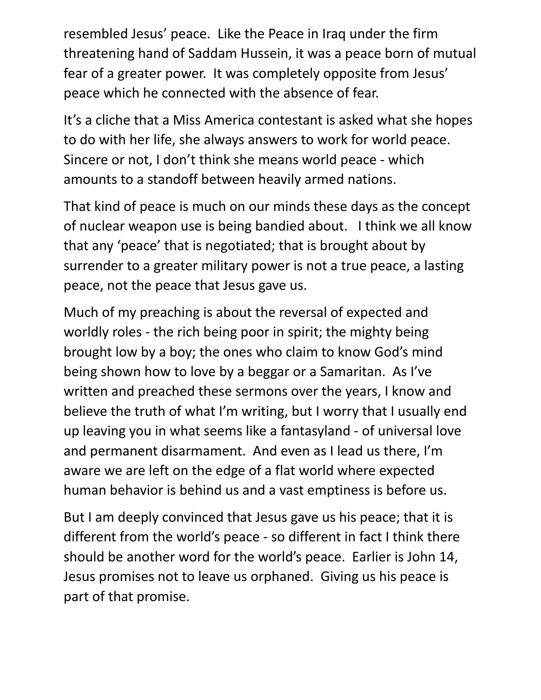resembled Jesus' peace. Like the Peace in Iraq under the firm threatening hand of Saddam Hussein, it was a peace born of mutual fear of a greater power. It was completely opposite from Jesus' peace which he connected with the absence of fear.

It's a cliche that a Miss America contestant is asked what she hopes to do with her life, she always answers to work for world peace. Sincere or not, I don't think she means world peace - which amounts to a standoff between heavily armed nations.

That kind of peace is much on our minds these days as the concept of nuclear weapon use is being bandied about. I think we all know that any 'peace' that is negotiated; that is brought about by surrender to a greater military power is not a true peace, a lasting peace, not the peace that Jesus gave us.

Much of my preaching is about the reversal of expected and worldly roles - the rich being poor in spirit; the mighty being brought low by a boy; the ones who claim to know God's mind being shown how to love by a beggar or a Samaritan. As I've written and preached these sermons over the years, I know and believe the truth of what I'm writing, but I worry that I usually end up leaving you in what seems like a fantasyland - of universal love and permanent disarmament. And even as I lead us there, I'm aware we are left on the edge of a flat world where expected human behavior is behind us and a vast emptiness is before us.

But I am deeply convinced that Jesus gave us his peace; that it is different from the world's peace - so different in fact I think there should be another word for the world's peace. Earlier is John 14, Jesus promises not to leave us orphaned. Giving us his peace is part of that promise.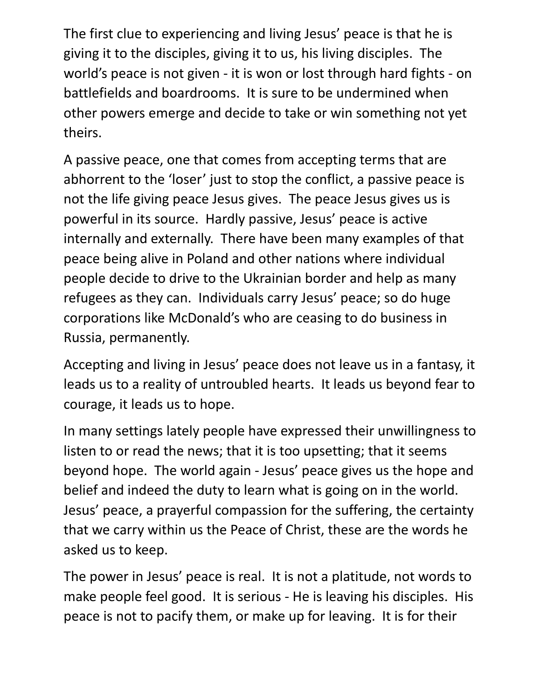The first clue to experiencing and living Jesus' peace is that he is giving it to the disciples, giving it to us, his living disciples. The world's peace is not given - it is won or lost through hard fights - on battlefields and boardrooms. It is sure to be undermined when other powers emerge and decide to take or win something not yet theirs.

A passive peace, one that comes from accepting terms that are abhorrent to the 'loser' just to stop the conflict, a passive peace is not the life giving peace Jesus gives. The peace Jesus gives us is powerful in its source. Hardly passive, Jesus' peace is active internally and externally. There have been many examples of that peace being alive in Poland and other nations where individual people decide to drive to the Ukrainian border and help as many refugees as they can. Individuals carry Jesus' peace; so do huge corporations like McDonald's who are ceasing to do business in Russia, permanently.

Accepting and living in Jesus' peace does not leave us in a fantasy, it leads us to a reality of untroubled hearts. It leads us beyond fear to courage, it leads us to hope.

In many settings lately people have expressed their unwillingness to listen to or read the news; that it is too upsetting; that it seems beyond hope. The world again - Jesus' peace gives us the hope and belief and indeed the duty to learn what is going on in the world. Jesus' peace, a prayerful compassion for the suffering, the certainty that we carry within us the Peace of Christ, these are the words he asked us to keep.

The power in Jesus' peace is real. It is not a platitude, not words to make people feel good. It is serious - He is leaving his disciples. His peace is not to pacify them, or make up for leaving. It is for their